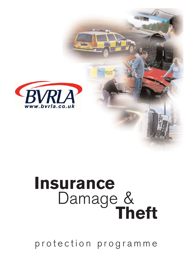

# **Insurance** Damage &**Theft**

protection programme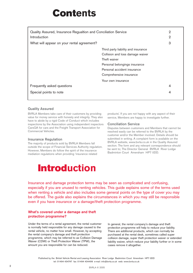### **Contents**

| Quality Assured, Insurance Regualtion and Conciliation Service<br>Introduction |                                     | $\overline{2}$<br>2 |
|--------------------------------------------------------------------------------|-------------------------------------|---------------------|
| What will appear on your rental agreement?                                     |                                     | 3                   |
|                                                                                | Third party liability and insurance |                     |
|                                                                                | Collision and loss damage waiver    |                     |
|                                                                                | Theft waiver                        |                     |
|                                                                                | Personal belongings insurance       |                     |
|                                                                                | Personal accident insurance         |                     |
|                                                                                | Comprehensive insurance             |                     |
|                                                                                | Your own insurance                  |                     |
| Frequently asked questions                                                     |                                     | $\overline{4}$      |
| Special points to note                                                         |                                     | 4                   |

#### **Quality Assured**

BVRLA Members take care of their customers by providing value for money service with honesty and integrity. They also have to abide by a rigid Code of Conduct which includes inspections by the Association using independent inspectors CarsQA for cars and the Freight Transport Association for Commercial Vehicles.

#### **Insurance Regulation**

The majority of products sold by BVRLA Members fall outside the scope of Financial Services Authority regulation. However, Members do follow the spirit of the insurance mediation regulations when providing 'insurance related

products'. If you are not happy with any aspect of their service, Members are happy to investigate further.

#### **Conciliation Service**

Disputes between customers and Members that cannot be resolved easily can be referred to the BVRLA by the customer and/or the Member involved. Details should be submitted in writing. A complaint form is available on the BVRLA website, www.bvrla.co.uk in the Quality Assured section. The form and any relevant correspondence should be sent to; The Director General BVRLA River Lodge Badminton Court Amersham HP7 0DD.

### **Introduction**

Insurance and damage protection terms may be seen as complicated and confusing, especially if you are unused to renting vehicles. This guide explains some of the terms used when renting a vehicle and also includes some general points on the type of cover you may be offered. The guide also explains the circumstances in which you may still be responsible even if you have insurance or a damage/theft protection programme.

#### **What's covered under a damage and theft protection programme?**

Under the terms of a rental agreement, the rental customer is normally held responsible for any damage caused to the rental vehicle, no matter how small. However, by accepting the rental company's damage and theft protection programme, which may be referred to as Collision Damage Waiver (CDW) or Theft Protection Waiver (TPW), the amount you are responsible for can be reduced.

In general, the rental company's damage and theft protection programme will help to reduce your liability. There are additional products, which can normally be purchased at the rental desk, sometimes called super collision damage, super theft protection waiver or extended liability waiver, which reduce your liability further or in some cases remove it altogether.

Published by the British Vehicle Rental and Leasing Association River Lodge Badminton Court Amersham HP7 0DD tel: 01494 434747 fax: 01494 434499 e-mail: info@bvrla.co.uk web: www.bvrla.co.uk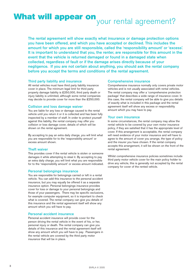## **What will appear on** your rental agreement?

**The rental agreement will show exactly what insurance or damage protection options you have been offered, and which you have accepted or declined. This includes the amount for which you are still responsible, called the 'responsibility amount' or 'excess'. It is important to understand that you, the renter, are responsible for this amount in the event that the vehicle is returned damaged or found in a damaged state when collected, regardless of fault or if the damage arises directly because of your negligence. If you are not certain about anything, you should ask the rental company before you accept the terms and conditions of the rental agreement.** 

#### **Third party liability and insurance**

All rental vehicles must have third party liability insurance cover in place. The minimum legal limit for third party property damage liability is £250,000, third party death or injury liability is unlimited, although some rental companies may decide to provide cover for more than the £250,000.

#### **Collision and loss damage waiver**

You are liable for any loss or damage caused to the rental vehicle until you return it or it is collected and has been fully inspected by a member of staff. In order to protect yourself against this liability, the rental company may offer you collision or loss damage cover, details of which will be shown on the rental agreement.

By accepting to pay an extra daily charge, you will limit what you are responsible for to the 'responsibility amount' or excess amount shown.

#### **Theft waiver**

This provides cover if the rental vehicle is stolen or someone damages it while attempting to steal it. By accepting to pay an extra daily charge, you will limit what you are responsible for to the 'responsibility amount' or excess amount indicated.

#### **Personal belongings insurance**

You are responsible for belongings carried or left in a rental vehicle. You can add this insurance to the personal accident insurance, but you may equally be offered it as a separate insurance option. Personal belongings insurance provides cover for loss or damage to your personal belongings and those of your passengers. There may be specific exclusions, for example computer equipment, so it is important to check what is covered. The rental company can give you details of this insurance and the rental agreement itself will show any amount which you will have to pay.

#### **Personal accident insurance**

Personal accident insurance will provide cover for the person driving the rental vehicle in the event of his, or her, personal injury or death. The rental company can give you details of this insurance and the rental agreement itself will show any amount which you will have to pay. Passengers in the rental vehicle are covered by the third party motor insurance that will be in place.

#### **Comprehensive insurance**

Comprehensive insurance normally only covers private motor vehicles and is not usually associated with rental vehicles. The rental company may offer a 'comprehensive protection package' that describes a wide range of insurance cover. In this case, the rental company will be able to give you details of exactly what is included in this package and the rental agreement itself will show any excess or responsibility amount which you may have to pay.

#### **Your own insurance**

In some circumstances, the rental company may allow the rental vehicle to be covered by your own motor insurance policy, if they are satisfied that it has the appropriate level of cover. If this arrangement is acceptable, the rental company will need evidence of your motor insurance and will have to agree to the amount of cover you arrange, the type of policy and the insurer you have chosen. If the rental company accepts this arrangement, it will be shown on the front of the rental agreement.

Whilst comprehensive insurance policies sometimes include third party motor vehicle cover for the main policy holder to drive any vehicle, this is generally not accepted by the rental company for cover of the rented vehicle.